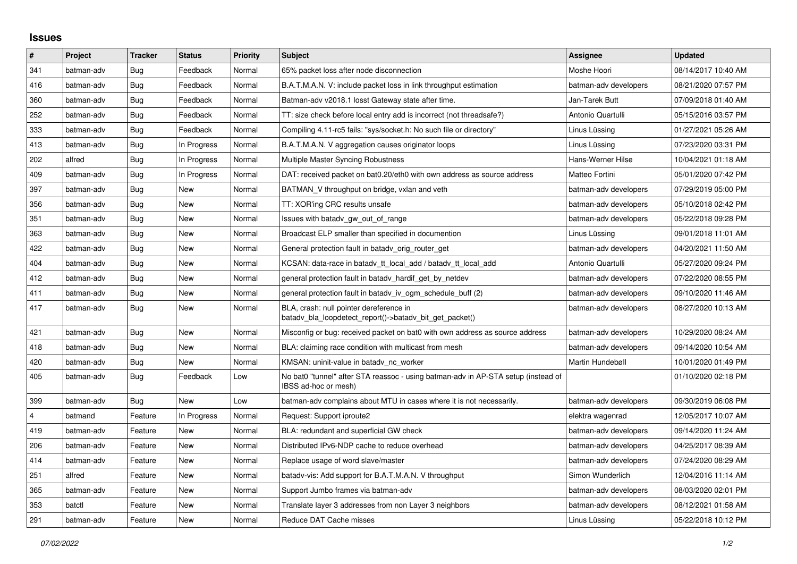## **Issues**

| $\pmb{\sharp}$ | Project    | <b>Tracker</b> | <b>Status</b> | <b>Priority</b> | <b>Subject</b>                                                                                            | <b>Assignee</b>       | <b>Updated</b>      |
|----------------|------------|----------------|---------------|-----------------|-----------------------------------------------------------------------------------------------------------|-----------------------|---------------------|
| 341            | batman-adv | Bug            | Feedback      | Normal          | 65% packet loss after node disconnection                                                                  | Moshe Hoori           | 08/14/2017 10:40 AM |
| 416            | batman-adv | Bug            | Feedback      | Normal          | B.A.T.M.A.N. V: include packet loss in link throughput estimation                                         | batman-adv developers | 08/21/2020 07:57 PM |
| 360            | batman-adv | Bug            | Feedback      | Normal          | Batman-adv v2018.1 losst Gateway state after time.                                                        | Jan-Tarek Butt        | 07/09/2018 01:40 AM |
| 252            | batman-adv | <b>Bug</b>     | Feedback      | Normal          | TT: size check before local entry add is incorrect (not threadsafe?)                                      | Antonio Quartulli     | 05/15/2016 03:57 PM |
| 333            | batman-adv | Bug            | Feedback      | Normal          | Compiling 4.11-rc5 fails: "sys/socket.h: No such file or directory"                                       | Linus Lüssing         | 01/27/2021 05:26 AM |
| 413            | batman-adv | Bug            | In Progress   | Normal          | B.A.T.M.A.N. V aggregation causes originator loops                                                        | Linus Lüssing         | 07/23/2020 03:31 PM |
| 202            | alfred     | Bug            | In Progress   | Normal          | Multiple Master Syncing Robustness                                                                        | Hans-Werner Hilse     | 10/04/2021 01:18 AM |
| 409            | batman-adv | Bug            | In Progress   | Normal          | DAT: received packet on bat0.20/eth0 with own address as source address                                   | Matteo Fortini        | 05/01/2020 07:42 PM |
| 397            | batman-adv | Bug            | <b>New</b>    | Normal          | BATMAN V throughput on bridge, vxlan and veth                                                             | batman-adv developers | 07/29/2019 05:00 PM |
| 356            | batman-adv | <b>Bug</b>     | <b>New</b>    | Normal          | TT: XOR'ing CRC results unsafe                                                                            | batman-adv developers | 05/10/2018 02:42 PM |
| 351            | batman-adv | Bug            | <b>New</b>    | Normal          | Issues with batady gw out of range                                                                        | batman-adv developers | 05/22/2018 09:28 PM |
| 363            | batman-adv | Bug            | <b>New</b>    | Normal          | Broadcast ELP smaller than specified in documention                                                       | Linus Lüssing         | 09/01/2018 11:01 AM |
| 422            | batman-adv | Bug            | New           | Normal          | General protection fault in batady orig router get                                                        | batman-adv developers | 04/20/2021 11:50 AM |
| 404            | batman-adv | Bug            | <b>New</b>    | Normal          | KCSAN: data-race in batady tt local add / batady tt local add                                             | Antonio Quartulli     | 05/27/2020 09:24 PM |
| 412            | batman-adv | Bug            | <b>New</b>    | Normal          | general protection fault in batady_hardif_get_by_netdev                                                   | batman-adv developers | 07/22/2020 08:55 PM |
| 411            | batman-adv | Bug            | <b>New</b>    | Normal          | general protection fault in batady iv ogm schedule buff (2)                                               | batman-adv developers | 09/10/2020 11:46 AM |
| 417            | batman-adv | Bug            | New           | Normal          | BLA, crash: null pointer dereference in<br>batady_bla_loopdetect_report()->batady_bit_get_packet()        | batman-adv developers | 08/27/2020 10:13 AM |
| 421            | batman-adv | Bug            | <b>New</b>    | Normal          | Misconfig or bug: received packet on bat0 with own address as source address                              | batman-adv developers | 10/29/2020 08:24 AM |
| 418            | batman-adv | <b>Bug</b>     | <b>New</b>    | Normal          | BLA: claiming race condition with multicast from mesh                                                     | batman-adv developers | 09/14/2020 10:54 AM |
| 420            | batman-adv | Bug            | New           | Normal          | KMSAN: uninit-value in batady nc worker                                                                   | Martin Hundebøll      | 10/01/2020 01:49 PM |
| 405            | batman-adv | Bug            | Feedback      | Low             | No bat0 "tunnel" after STA reassoc - using batman-adv in AP-STA setup (instead of<br>IBSS ad-hoc or mesh) |                       | 01/10/2020 02:18 PM |
| 399            | batman-adv | Bug            | <b>New</b>    | Low             | batman-adv complains about MTU in cases where it is not necessarily.                                      | batman-adv developers | 09/30/2019 06:08 PM |
| 4              | batmand    | Feature        | In Progress   | Normal          | Request: Support iproute2                                                                                 | elektra wagenrad      | 12/05/2017 10:07 AM |
| 419            | batman-adv | Feature        | <b>New</b>    | Normal          | BLA: redundant and superficial GW check                                                                   | batman-adv developers | 09/14/2020 11:24 AM |
| 206            | batman-adv | Feature        | <b>New</b>    | Normal          | Distributed IPv6-NDP cache to reduce overhead                                                             | batman-adv developers | 04/25/2017 08:39 AM |
| 414            | batman-adv | Feature        | New           | Normal          | Replace usage of word slave/master                                                                        | batman-adv developers | 07/24/2020 08:29 AM |
| 251            | alfred     | Feature        | <b>New</b>    | Normal          | batady-vis: Add support for B.A.T.M.A.N. V throughput                                                     | Simon Wunderlich      | 12/04/2016 11:14 AM |
| 365            | batman-adv | Feature        | New           | Normal          | Support Jumbo frames via batman-adv                                                                       | batman-adv developers | 08/03/2020 02:01 PM |
| 353            | batctl     | Feature        | <b>New</b>    | Normal          | Translate layer 3 addresses from non Layer 3 neighbors                                                    | batman-adv developers | 08/12/2021 01:58 AM |
| 291            | batman-adv | Feature        | <b>New</b>    | Normal          | Reduce DAT Cache misses                                                                                   | Linus Lüssing         | 05/22/2018 10:12 PM |